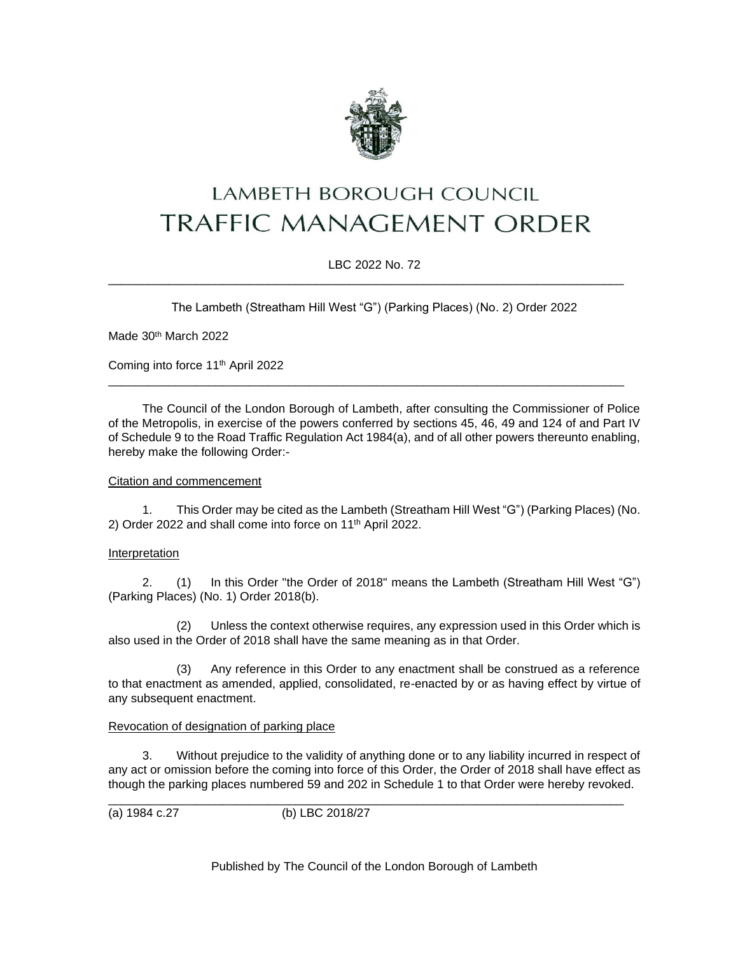

# LAMBETH BOROUGH COUNCIL **TRAFFIC MANAGEMENT ORDER**

# LBC 2022 No. 72

\_\_\_\_\_\_\_\_\_\_\_\_\_\_\_\_\_\_\_\_\_\_\_\_\_\_\_\_\_\_\_\_\_\_\_\_\_\_\_\_\_\_\_\_\_\_\_\_\_\_\_\_\_\_\_\_\_\_\_\_\_\_\_\_\_\_\_\_\_\_\_\_\_\_\_\_\_

The Lambeth (Streatham Hill West "G") (Parking Places) (No. 2) Order 2022

Made 30<sup>th</sup> March 2022

Coming into force 11th April 2022

The Council of the London Borough of Lambeth, after consulting the Commissioner of Police of the Metropolis, in exercise of the powers conferred by sections 45, 46, 49 and 124 of and Part IV of Schedule 9 to the Road Traffic Regulation Act 1984(a), and of all other powers thereunto enabling, hereby make the following Order:-

\_\_\_\_\_\_\_\_\_\_\_\_\_\_\_\_\_\_\_\_\_\_\_\_\_\_\_\_\_\_\_\_\_\_\_\_\_\_\_\_\_\_\_\_\_\_\_\_\_\_\_\_\_\_\_\_\_\_\_\_\_\_\_\_\_\_\_\_\_\_\_\_\_\_\_\_\_

#### Citation and commencement

1. This Order may be cited as the Lambeth (Streatham Hill West "G") (Parking Places) (No. 2) Order 2022 and shall come into force on 11<sup>th</sup> April 2022.

# Interpretation

2. (1) In this Order "the Order of 2018" means the Lambeth (Streatham Hill West "G") (Parking Places) (No. 1) Order 2018(b).

(2) Unless the context otherwise requires, any expression used in this Order which is also used in the Order of 2018 shall have the same meaning as in that Order.

(3) Any reference in this Order to any enactment shall be construed as a reference to that enactment as amended, applied, consolidated, re-enacted by or as having effect by virtue of any subsequent enactment.

# Revocation of designation of parking place

3. Without prejudice to the validity of anything done or to any liability incurred in respect of any act or omission before the coming into force of this Order, the Order of 2018 shall have effect as though the parking places numbered 59 and 202 in Schedule 1 to that Order were hereby revoked.

\_\_\_\_\_\_\_\_\_\_\_\_\_\_\_\_\_\_\_\_\_\_\_\_\_\_\_\_\_\_\_\_\_\_\_\_\_\_\_\_\_\_\_\_\_\_\_\_\_\_\_\_\_\_\_\_\_\_\_\_\_\_\_\_\_\_\_\_\_\_\_\_\_\_\_\_\_

(a) 1984 c.27 (b) LBC 2018/27

Published by The Council of the London Borough of Lambeth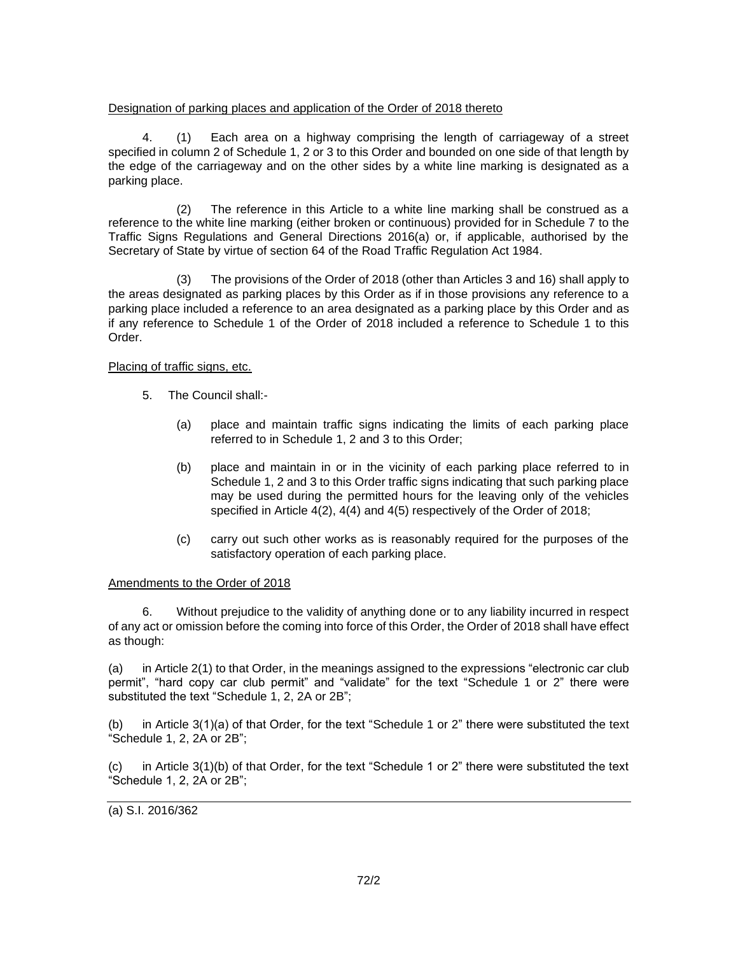#### Designation of parking places and application of the Order of 2018 thereto

4. (1) Each area on a highway comprising the length of carriageway of a street specified in column 2 of Schedule 1, 2 or 3 to this Order and bounded on one side of that length by the edge of the carriageway and on the other sides by a white line marking is designated as a parking place.

(2) The reference in this Article to a white line marking shall be construed as a reference to the white line marking (either broken or continuous) provided for in Schedule 7 to the Traffic Signs Regulations and General Directions 2016(a) or, if applicable, authorised by the Secretary of State by virtue of section 64 of the Road Traffic Regulation Act 1984.

(3) The provisions of the Order of 2018 (other than Articles 3 and 16) shall apply to the areas designated as parking places by this Order as if in those provisions any reference to a parking place included a reference to an area designated as a parking place by this Order and as if any reference to Schedule 1 of the Order of 2018 included a reference to Schedule 1 to this Order.

#### Placing of traffic signs, etc.

- 5. The Council shall:-
	- (a) place and maintain traffic signs indicating the limits of each parking place referred to in Schedule 1, 2 and 3 to this Order;
	- (b) place and maintain in or in the vicinity of each parking place referred to in Schedule 1, 2 and 3 to this Order traffic signs indicating that such parking place may be used during the permitted hours for the leaving only of the vehicles specified in Article 4(2), 4(4) and 4(5) respectively of the Order of 2018;
	- (c) carry out such other works as is reasonably required for the purposes of the satisfactory operation of each parking place.

# Amendments to the Order of 2018

6. Without prejudice to the validity of anything done or to any liability incurred in respect of any act or omission before the coming into force of this Order, the Order of 2018 shall have effect as though:

(a) in Article 2(1) to that Order, in the meanings assigned to the expressions "electronic car club permit", "hard copy car club permit" and "validate" for the text "Schedule 1 or 2" there were substituted the text "Schedule 1, 2, 2A or 2B";

(b) in Article 3(1)(a) of that Order, for the text "Schedule 1 or 2" there were substituted the text "Schedule 1, 2, 2A or 2B";

(c) in Article 3(1)(b) of that Order, for the text "Schedule 1 or 2" there were substituted the text "Schedule 1, 2, 2A or 2B";

(a) S.I. 2016/362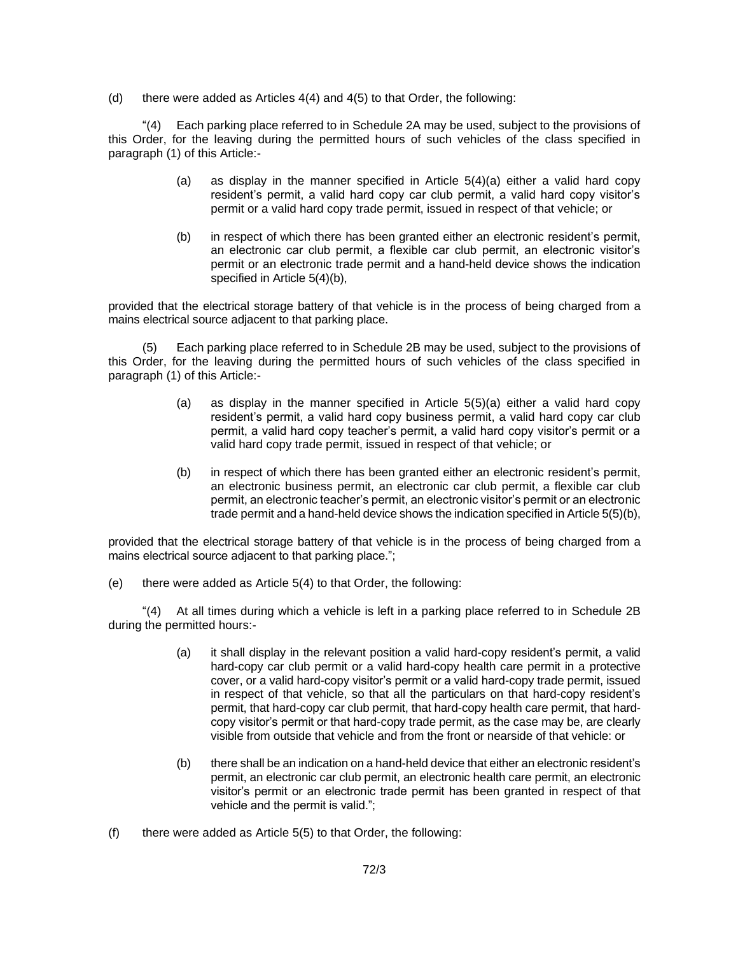(d) there were added as Articles 4(4) and 4(5) to that Order, the following:

"(4) Each parking place referred to in Schedule 2A may be used, subject to the provisions of this Order, for the leaving during the permitted hours of such vehicles of the class specified in paragraph (1) of this Article:-

- (a) as display in the manner specified in Article 5(4)(a) either a valid hard copy resident's permit, a valid hard copy car club permit, a valid hard copy visitor's permit or a valid hard copy trade permit, issued in respect of that vehicle; or
- (b) in respect of which there has been granted either an electronic resident's permit, an electronic car club permit, a flexible car club permit, an electronic visitor's permit or an electronic trade permit and a hand-held device shows the indication specified in Article 5(4)(b),

provided that the electrical storage battery of that vehicle is in the process of being charged from a mains electrical source adjacent to that parking place.

(5) Each parking place referred to in Schedule 2B may be used, subject to the provisions of this Order, for the leaving during the permitted hours of such vehicles of the class specified in paragraph (1) of this Article:-

- (a) as display in the manner specified in Article 5(5)(a) either a valid hard copy resident's permit, a valid hard copy business permit, a valid hard copy car club permit, a valid hard copy teacher's permit, a valid hard copy visitor's permit or a valid hard copy trade permit, issued in respect of that vehicle; or
- (b) in respect of which there has been granted either an electronic resident's permit, an electronic business permit, an electronic car club permit, a flexible car club permit, an electronic teacher's permit, an electronic visitor's permit or an electronic trade permit and a hand-held device shows the indication specified in Article 5(5)(b),

provided that the electrical storage battery of that vehicle is in the process of being charged from a mains electrical source adjacent to that parking place.";

(e) there were added as Article 5(4) to that Order, the following:

"(4) At all times during which a vehicle is left in a parking place referred to in Schedule 2B during the permitted hours:-

- (a) it shall display in the relevant position a valid hard-copy resident's permit, a valid hard-copy car club permit or a valid hard-copy health care permit in a protective cover, or a valid hard-copy visitor's permit or a valid hard-copy trade permit, issued in respect of that vehicle, so that all the particulars on that hard-copy resident's permit, that hard-copy car club permit, that hard-copy health care permit, that hardcopy visitor's permit or that hard-copy trade permit, as the case may be, are clearly visible from outside that vehicle and from the front or nearside of that vehicle: or
- (b) there shall be an indication on a hand-held device that either an electronic resident's permit, an electronic car club permit, an electronic health care permit, an electronic visitor's permit or an electronic trade permit has been granted in respect of that vehicle and the permit is valid.";
- $(f)$  there were added as Article 5(5) to that Order, the following: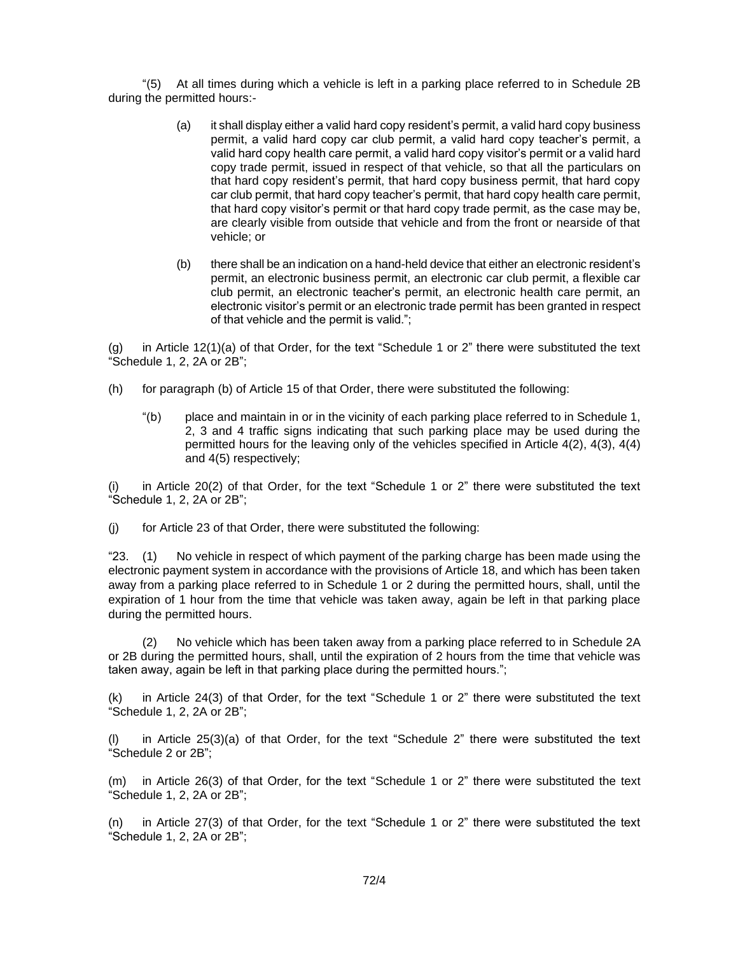"(5) At all times during which a vehicle is left in a parking place referred to in Schedule 2B during the permitted hours:-

- (a) it shall display either a valid hard copy resident's permit, a valid hard copy business permit, a valid hard copy car club permit, a valid hard copy teacher's permit, a valid hard copy health care permit, a valid hard copy visitor's permit or a valid hard copy trade permit, issued in respect of that vehicle, so that all the particulars on that hard copy resident's permit, that hard copy business permit, that hard copy car club permit, that hard copy teacher's permit, that hard copy health care permit, that hard copy visitor's permit or that hard copy trade permit, as the case may be, are clearly visible from outside that vehicle and from the front or nearside of that vehicle; or
- (b) there shall be an indication on a hand-held device that either an electronic resident's permit, an electronic business permit, an electronic car club permit, a flexible car club permit, an electronic teacher's permit, an electronic health care permit, an electronic visitor's permit or an electronic trade permit has been granted in respect of that vehicle and the permit is valid.";

(g) in Article 12(1)(a) of that Order, for the text "Schedule 1 or 2" there were substituted the text "Schedule 1, 2, 2A or 2B";

- (h) for paragraph (b) of Article 15 of that Order, there were substituted the following:
	- "(b) place and maintain in or in the vicinity of each parking place referred to in Schedule 1, 2, 3 and 4 traffic signs indicating that such parking place may be used during the permitted hours for the leaving only of the vehicles specified in Article 4(2), 4(3), 4(4) and 4(5) respectively;

in Article 20(2) of that Order, for the text "Schedule 1 or 2" there were substituted the text "Schedule 1, 2, 2A or 2B";

(j) for Article 23 of that Order, there were substituted the following:

"23. (1) No vehicle in respect of which payment of the parking charge has been made using the electronic payment system in accordance with the provisions of Article 18, and which has been taken away from a parking place referred to in Schedule 1 or 2 during the permitted hours, shall, until the expiration of 1 hour from the time that vehicle was taken away, again be left in that parking place during the permitted hours.

(2) No vehicle which has been taken away from a parking place referred to in Schedule 2A or 2B during the permitted hours, shall, until the expiration of 2 hours from the time that vehicle was taken away, again be left in that parking place during the permitted hours.";

(k) in Article 24(3) of that Order, for the text "Schedule 1 or 2" there were substituted the text "Schedule 1, 2, 2A or 2B";

(l) in Article 25(3)(a) of that Order, for the text "Schedule 2" there were substituted the text "Schedule 2 or 2B";

(m) in Article 26(3) of that Order, for the text "Schedule 1 or 2" there were substituted the text "Schedule 1, 2, 2A or 2B";

(n) in Article 27(3) of that Order, for the text "Schedule 1 or 2" there were substituted the text "Schedule 1, 2, 2A or 2B";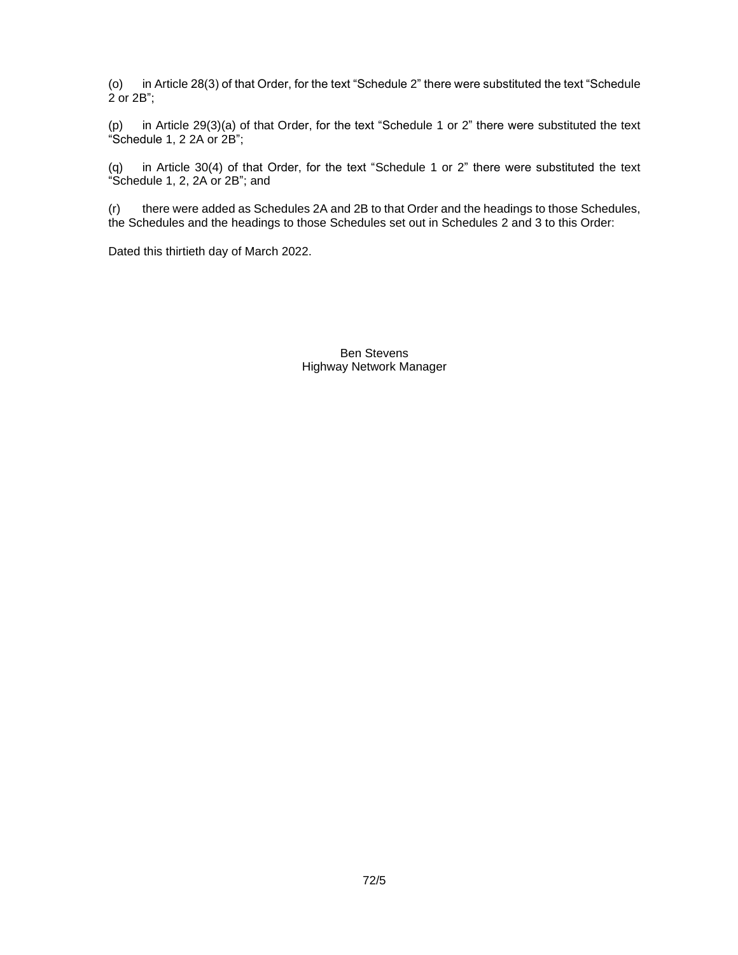(o) in Article 28(3) of that Order, for the text "Schedule 2" there were substituted the text "Schedule 2 or 2B";

(p) in Article 29(3)(a) of that Order, for the text "Schedule 1 or 2" there were substituted the text "Schedule 1, 2 2A or 2B";

(q) in Article 30(4) of that Order, for the text "Schedule 1 or 2" there were substituted the text "Schedule 1, 2, 2A or 2B"; and

(r) there were added as Schedules 2A and 2B to that Order and the headings to those Schedules, the Schedules and the headings to those Schedules set out in Schedules 2 and 3 to this Order:

Dated this thirtieth day of March 2022.

Ben Stevens Highway Network Manager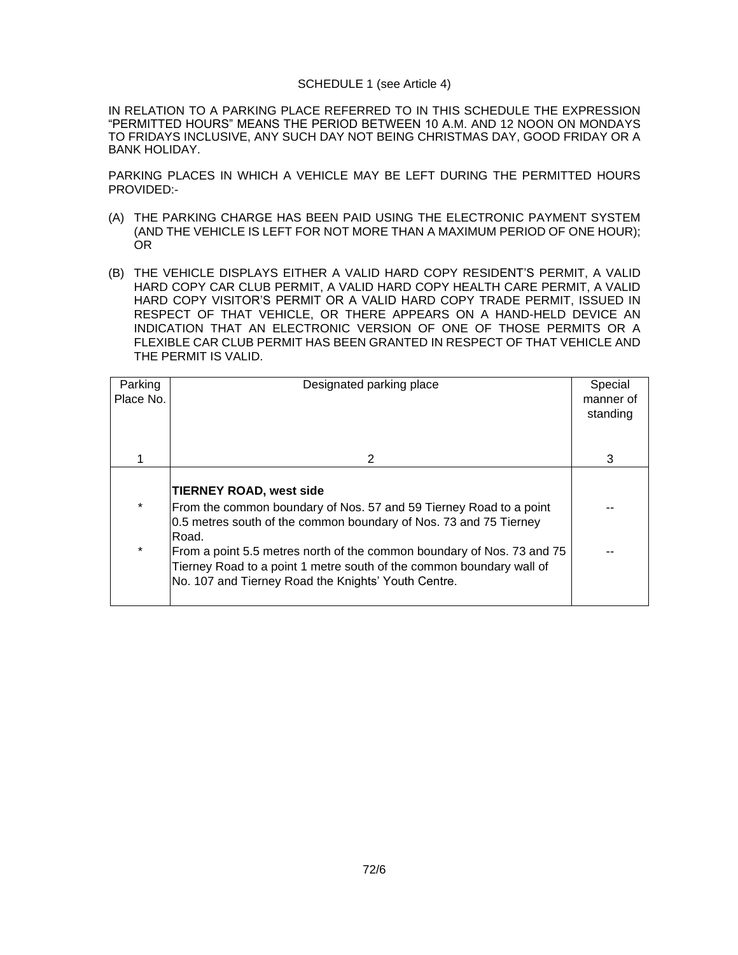#### SCHEDULE 1 (see Article 4)

IN RELATION TO A PARKING PLACE REFERRED TO IN THIS SCHEDULE THE EXPRESSION "PERMITTED HOURS" MEANS THE PERIOD BETWEEN 10 A.M. AND 12 NOON ON MONDAYS TO FRIDAYS INCLUSIVE, ANY SUCH DAY NOT BEING CHRISTMAS DAY, GOOD FRIDAY OR A BANK HOLIDAY.

PARKING PLACES IN WHICH A VEHICLE MAY BE LEFT DURING THE PERMITTED HOURS PROVIDED:-

- (A) THE PARKING CHARGE HAS BEEN PAID USING THE ELECTRONIC PAYMENT SYSTEM (AND THE VEHICLE IS LEFT FOR NOT MORE THAN A MAXIMUM PERIOD OF ONE HOUR); OR
- (B) THE VEHICLE DISPLAYS EITHER A VALID HARD COPY RESIDENT'S PERMIT, A VALID HARD COPY CAR CLUB PERMIT, A VALID HARD COPY HEALTH CARE PERMIT, A VALID HARD COPY VISITOR'S PERMIT OR A VALID HARD COPY TRADE PERMIT, ISSUED IN RESPECT OF THAT VEHICLE, OR THERE APPEARS ON A HAND-HELD DEVICE AN INDICATION THAT AN ELECTRONIC VERSION OF ONE OF THOSE PERMITS OR A FLEXIBLE CAR CLUB PERMIT HAS BEEN GRANTED IN RESPECT OF THAT VEHICLE AND THE PERMIT IS VALID.

| Parking<br>Place No. | Designated parking place                                                                                                                                                                                                                                                                                                                                                                    | Special<br>manner of<br>standing |
|----------------------|---------------------------------------------------------------------------------------------------------------------------------------------------------------------------------------------------------------------------------------------------------------------------------------------------------------------------------------------------------------------------------------------|----------------------------------|
|                      | 2                                                                                                                                                                                                                                                                                                                                                                                           | 3                                |
| $\star$<br>$\star$   | <b>TIERNEY ROAD, west side</b><br>From the common boundary of Nos. 57 and 59 Tierney Road to a point<br>0.5 metres south of the common boundary of Nos. 73 and 75 Tierney<br>Road.<br>From a point 5.5 metres north of the common boundary of Nos. 73 and 75<br>Tierney Road to a point 1 metre south of the common boundary wall of<br>No. 107 and Tierney Road the Knights' Youth Centre. |                                  |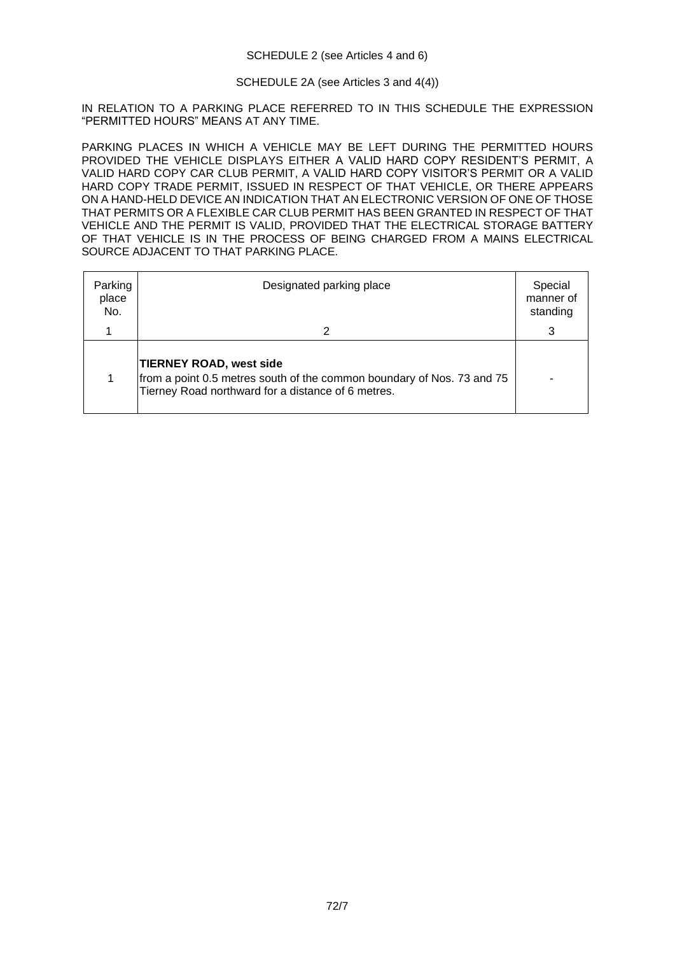#### SCHEDULE 2 (see Articles 4 and 6)

#### SCHEDULE 2A (see Articles 3 and 4(4))

IN RELATION TO A PARKING PLACE REFERRED TO IN THIS SCHEDULE THE EXPRESSION "PERMITTED HOURS" MEANS AT ANY TIME.

PARKING PLACES IN WHICH A VEHICLE MAY BE LEFT DURING THE PERMITTED HOURS PROVIDED THE VEHICLE DISPLAYS EITHER A VALID HARD COPY RESIDENT'S PERMIT, A VALID HARD COPY CAR CLUB PERMIT, A VALID HARD COPY VISITOR'S PERMIT OR A VALID HARD COPY TRADE PERMIT, ISSUED IN RESPECT OF THAT VEHICLE, OR THERE APPEARS ON A HAND-HELD DEVICE AN INDICATION THAT AN ELECTRONIC VERSION OF ONE OF THOSE THAT PERMITS OR A FLEXIBLE CAR CLUB PERMIT HAS BEEN GRANTED IN RESPECT OF THAT VEHICLE AND THE PERMIT IS VALID, PROVIDED THAT THE ELECTRICAL STORAGE BATTERY OF THAT VEHICLE IS IN THE PROCESS OF BEING CHARGED FROM A MAINS ELECTRICAL SOURCE ADJACENT TO THAT PARKING PLACE.

| Parking<br>place<br>No. | Designated parking place                                                                                                                                       | Special<br>manner of<br>standing |
|-------------------------|----------------------------------------------------------------------------------------------------------------------------------------------------------------|----------------------------------|
|                         | 2                                                                                                                                                              | 3                                |
|                         | <b>TIERNEY ROAD, west side</b><br>from a point 0.5 metres south of the common boundary of Nos. 73 and 75<br>Tierney Road northward for a distance of 6 metres. |                                  |